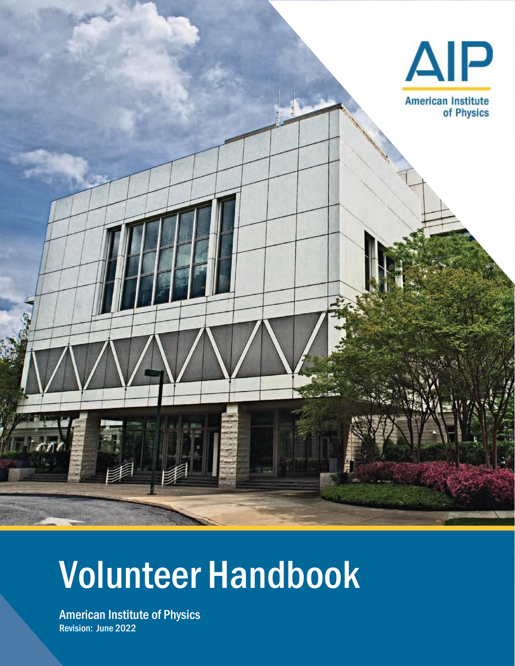

# Volunteer Handbook

American Institute of Physics Revision: June 2022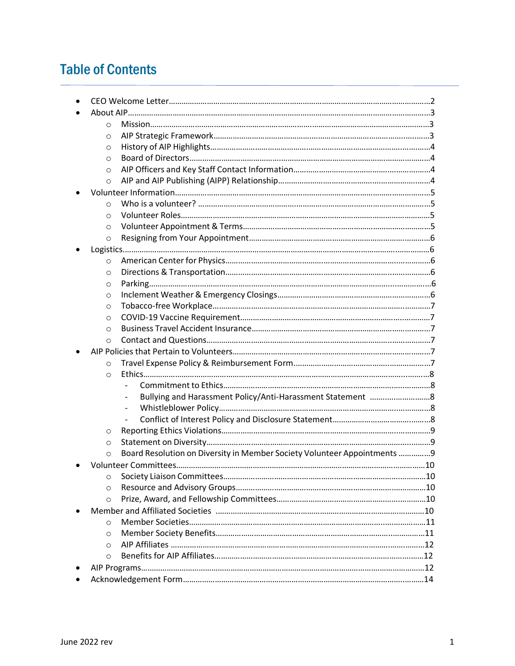# Table of Contents

| $\circ$  |                                                                          |  |
|----------|--------------------------------------------------------------------------|--|
| O        |                                                                          |  |
| O        |                                                                          |  |
| $\circ$  |                                                                          |  |
| O        |                                                                          |  |
| $\circ$  |                                                                          |  |
|          |                                                                          |  |
| $\circ$  |                                                                          |  |
| $\circ$  |                                                                          |  |
| $\circ$  |                                                                          |  |
| $\circ$  |                                                                          |  |
|          |                                                                          |  |
| $\circ$  |                                                                          |  |
| $\circ$  |                                                                          |  |
| $\circ$  |                                                                          |  |
| $\circ$  |                                                                          |  |
| $\circ$  |                                                                          |  |
| $\circ$  |                                                                          |  |
| $\circ$  |                                                                          |  |
| $\circ$  |                                                                          |  |
|          |                                                                          |  |
| $\circ$  |                                                                          |  |
| $\circ$  |                                                                          |  |
|          |                                                                          |  |
|          |                                                                          |  |
|          | $\overline{\phantom{a}}$                                                 |  |
|          |                                                                          |  |
| O        |                                                                          |  |
| O        |                                                                          |  |
| $\circ$  | Board Resolution on Diversity in Member Society Volunteer Appointments 9 |  |
|          |                                                                          |  |
| $\circ$  |                                                                          |  |
| $\circ$  |                                                                          |  |
| $\circ$  |                                                                          |  |
|          |                                                                          |  |
| $\Omega$ |                                                                          |  |
| O        |                                                                          |  |
| $\circ$  |                                                                          |  |
| $\circ$  |                                                                          |  |
|          |                                                                          |  |
|          |                                                                          |  |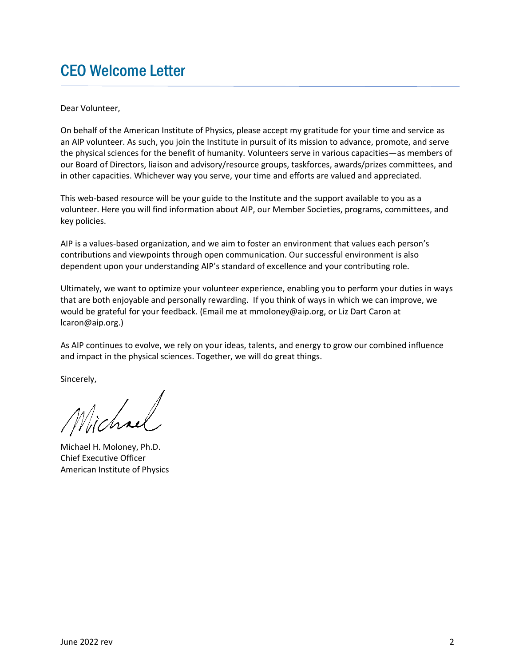## CEO Welcome Letter

Dear Volunteer,

On behalf of the American Institute of Physics, please accept my gratitude for your time and service as an AIP volunteer. As such, you join the Institute in pursuit of its mission to advance, promote, and serve the physical sciences for the benefit of humanity. Volunteers serve in various capacities—as members of our Board of Directors, liaison and advisory/resource groups, taskforces, awards/prizes committees, and in other capacities. Whichever way you serve, your time and efforts are valued and appreciated.

This web-based resource will be your guide to the Institute and the support available to you as a volunteer. Here you will find information about AIP, our Member Societies, programs, committees, and key policies.

AIP is a values-based organization, and we aim to foster an environment that values each person's contributions and viewpoints through open communication. Our successful environment is also dependent upon your understanding AIP's standard of excellence and your contributing role.

Ultimately, we want to optimize your volunteer experience, enabling you to perform your duties in ways that are both enjoyable and personally rewarding. If you think of ways in which we can improve, we would be grateful for your feedback. (Email me at mmoloney@aip.org, or Liz Dart Caron at lcaron@aip.org.)

As AIP continues to evolve, we rely on your ideas, talents, and energy to grow our combined influence and impact in the physical sciences. Together, we will do great things.

Sincerely,

Vichael

Michael H. Moloney, Ph.D. Chief Executive Officer American Institute of Physics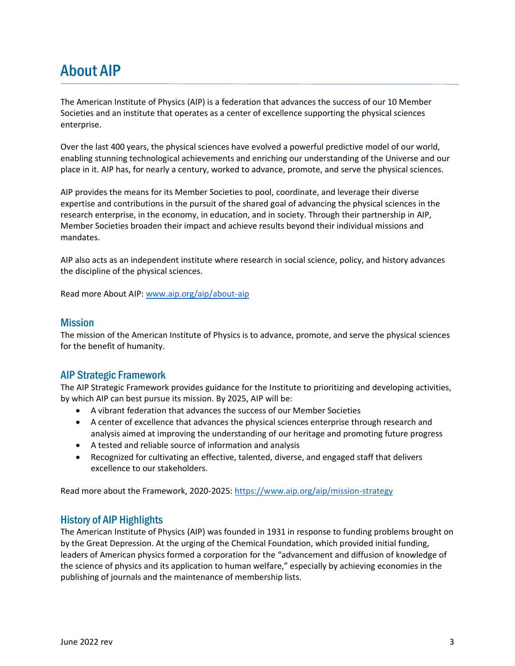# About AIP

The American Institute of Physics (AIP) is a federation that advances the success of our 10 Member Societies and an institute that operates as a center of excellence supporting the physical sciences enterprise.

Over the last 400 years, the physical sciences have evolved a powerful predictive model of our world, enabling stunning technological achievements and enriching our understanding of the Universe and our place in it. AIP has, for nearly a century, worked to advance, promote, and serve the physical sciences.

AIP provides the means for its Member Societies to pool, coordinate, and leverage their diverse expertise and contributions in the pursuit of the shared goal of advancing the physical sciences in the research enterprise, in the economy, in education, and in society. Through their partnership in AIP, Member Societies broaden their impact and achieve results beyond their individual missions and mandates.

AIP also acts as an independent institute where research in social science, policy, and history advances the discipline of the physical sciences.

Read more About AIP: [www.aip.org/aip/about-aip](http://www.aip.org/aip/about-aip)

#### **Mission**

The mission of the American Institute of Physics is to advance, promote, and serve the physical sciences for the benefit of humanity.

#### [AIP Strategic Framework](https://aippublishing.sharepoint.com/sites/aip/strategicPlanning/StrategicPlan/Shared%20Documents/AIP%20Strategic%20Framework%20Items/Strategic%20Framework_All%20Staff%20Presentation_25%20Sep%2019.pdf)

The AIP Strategic Framework provides guidance for the Institute to prioritizing and developing activities, by which AIP can best pursue its mission. By 2025, AIP will be:

- A vibrant federation that advances the success of our Member Societies
- A center of excellence that advances the physical sciences enterprise through research and analysis aimed at improving the understanding of our heritage and promoting future progress
- A tested and reliable source of information and analysis
- Recognized for cultivating an effective, talented, diverse, and engaged staff that delivers excellence to our stakeholders.

Read more about the Framework, 2020-2025:<https://www.aip.org/aip/mission-strategy>

#### History of AIP Highlights

The American Institute of Physics (AIP) was founded in 1931 in response to funding problems brought on by the Great Depression. At the urging of the Chemical Foundation, which provided initial funding, leaders of American physics formed a corporation for the "advancement and diffusion of knowledge of the science of physics and its application to human welfare," especially by achieving economies in the publishing of journals and the maintenance of membership lists.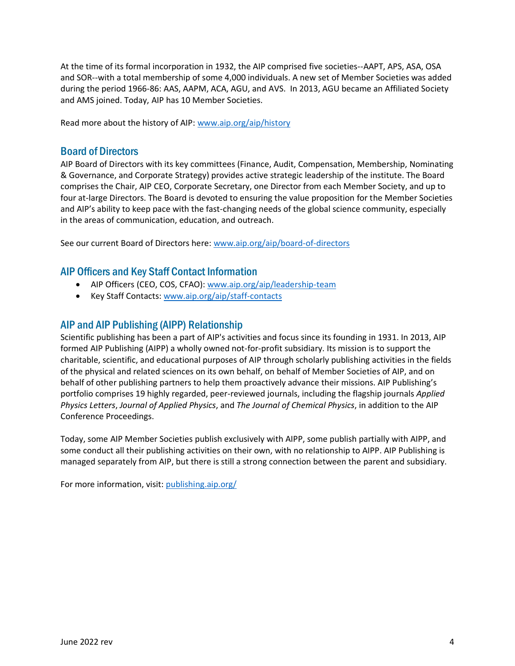At the time of its formal incorporation in 1932, the AIP comprised five societies--AAPT, APS, ASA, OSA and SOR--with a total membership of some 4,000 individuals. A new set of Member Societies was added during the period 1966-86: AAS, AAPM, ACA, AGU, and AVS. In 2013, AGU became an Affiliated Society and AMS joined. Today, AIP has 10 Member Societies.

Read more about the history of AIP: [www.aip.org/aip/history](http://www.aip.org/aip/history)

#### Board of Directors

AIP Board of Directors with its key committees (Finance, Audit, Compensation, Membership, Nominating & Governance, and Corporate Strategy) provides active strategic leadership of the institute. The Board comprises the Chair, AIP CEO, Corporate Secretary, one Director from each Member Society, and up to four at-large Directors. The Board is devoted to ensuring the value proposition for the Member Societies and AIP's ability to keep pace with the fast-changing needs of the global science community, especially in the areas of communication, education, and outreach.

See our current Board of Directors here: [www.aip.org/aip/board-of-directors](http://www.aip.org/aip/board-of-directors)

#### AIP Officers and Key Staff Contact Information

- AIP Officers (CEO, COS, CFAO)[: www.aip.org/aip/leadership-team](http://www.aip.org/aip/leadership-team)
- Key Staff Contacts: [www.aip.org/aip/staff-contacts](http://www.aip.org/aip/staff-contacts)

#### AIP and AIP Publishing (AIPP) Relationship

Scientific publishing has been a part of AIP's activities and focus since its founding in 1931. In 2013, AIP formed AIP Publishing (AIPP) a wholly owned not-for-profit subsidiary. Its mission is to support the charitable, scientific, and educational purposes of AIP through scholarly publishing activities in the fields of the physical and related sciences on its own behalf, on behalf of Member Societies of AIP, and on behalf of other publishing partners to help them proactively advance their missions. AIP Publishing's portfolio comprises 19 highly regarded, peer-reviewed journals, including the flagship journals *Applied Physics Letters*, *Journal of Applied Physics*, and *The Journal of Chemical Physics*, in addition to the AIP Conference Proceedings.

Today, some AIP Member Societies publish exclusively with AIPP, some publish partially with AIPP, and some conduct all their publishing activities on their own, with no relationship to AIPP. AIP Publishing is managed separately from AIP, but there is still a strong connection between the parent and subsidiary.

For more information, visit: publishing.aip.org/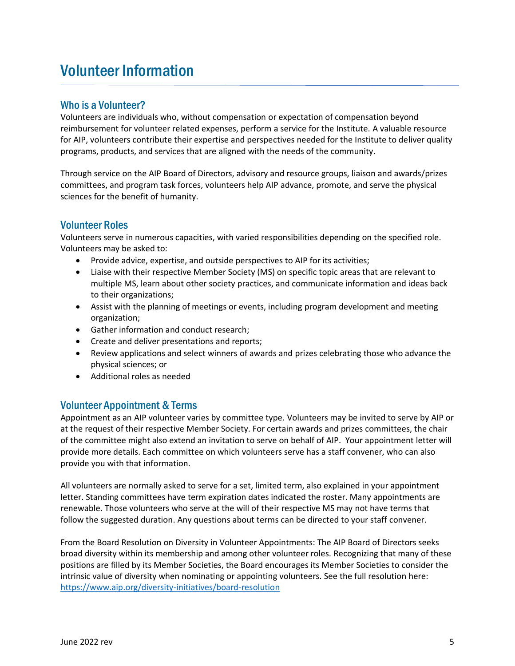# Volunteer Information

## Who is a Volunteer?

Volunteers are individuals who, without compensation or expectation of compensation beyond reimbursement for volunteer related expenses, perform a service for the Institute. A valuable resource for AIP, volunteers contribute their expertise and perspectives needed for the Institute to deliver quality programs, products, and services that are aligned with the needs of the community.

Through service on the AIP Board of Directors, advisory and resource groups, liaison and awards/prizes committees, and program task forces, volunteers help AIP advance, promote, and serve the physical sciences for the benefit of humanity.

## Volunteer Roles

Volunteers serve in numerous capacities, with varied responsibilities depending on the specified role. Volunteers may be asked to:

- Provide advice, expertise, and outside perspectives to AIP for its activities;
- Liaise with their respective Member Society (MS) on specific topic areas that are relevant to multiple MS, learn about other society practices, and communicate information and ideas back to their organizations;
- Assist with the planning of meetings or events, including program development and meeting organization;
- Gather information and conduct research;
- Create and deliver presentations and reports;
- Review applications and select winners of awards and prizes celebrating those who advance the physical sciences; or
- Additional roles as needed

#### Volunteer Appointment & Terms

Appointment as an AIP volunteer varies by committee type. Volunteers may be invited to serve by AIP or at the request of their respective Member Society. For certain awards and prizes committees, the chair of the committee might also extend an invitation to serve on behalf of AIP. Your appointment letter will provide more details. Each committee on which volunteers serve has a staff convener, who can also provide you with that information.

All volunteers are normally asked to serve for a set, limited term, also explained in your appointment letter. Standing committees have term expiration dates indicated the roster. Many appointments are renewable. Those volunteers who serve at the will of their respective MS may not have terms that follow the suggested duration. Any questions about terms can be directed to your staff convener.

From the Board Resolution on Diversity in Volunteer Appointments: The AIP Board of Directors seeks broad diversity within its membership and among other volunteer roles. Recognizing that many of these positions are filled by its Member Societies, the Board encourages its Member Societies to consider the intrinsic value of diversity when nominating or appointing volunteers. See the full resolution here: <https://www.aip.org/diversity-initiatives/board-resolution>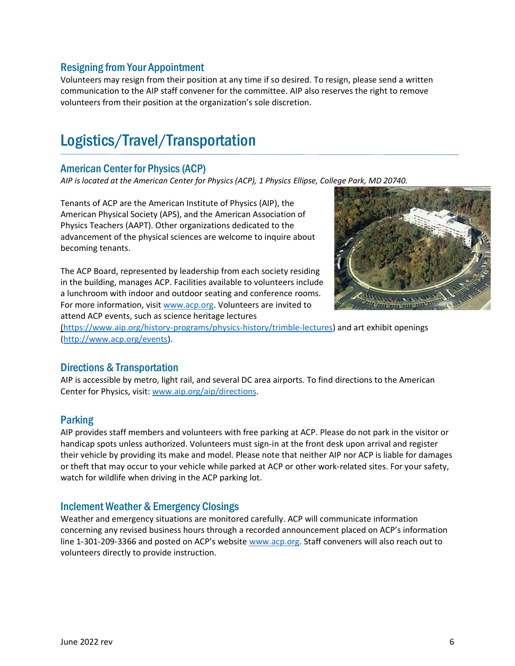### Resigning from Your Appointment

Volunteers may resign from their position at any time if so desired. To resign, please send a written communication to the AIP staff convener for the committee. AIP also reserves the right to remove volunteers from their position at the organization's sole discretion.

# Logistics/Travel/Transportation

## American Center for Physics (ACP)

*AIP is located at the American Center for Physics (ACP), 1 Physics Ellipse, College Park, MD 20740.*

Tenants of ACP are the American Institute of Physics (AIP), the American Physical Society (APS), and the American Association of Physics Teachers (AAPT). Other organizations dedicated to the advancement of the physical sciences are welcome to inquire about becoming tenants.

The ACP Board, represented by leadership from each society residing in the building, manages ACP. Facilities available to volunteers include a lunchroom with indoor and outdoor seating and conference rooms. For more information, visit [www.acp.org.](http://www.acp.org/) Volunteers are invited to attend ACP events, such as science heritage lectures



[\(https://www.aip.org/history-programs/physics-history/trimble-lectures\)](http://(www.aip.org/history-programs/physics-history/trimble-lectures) and art exhibit openings [\(http://www.acp.org/events\)](http://www.acp.org/events).

#### Directions & Transportation

AIP is accessible by metro, light rail, and several DC area airports. To find directions to the American Center for Physics, visit: [www.aip.org/aip/directions.](http://www.aip.org/aip/directions)

#### Parking

AIP provides staff members and volunteers with free parking at ACP. Please do not park in the visitor or handicap spots unless authorized. Volunteers must sign-in at the front desk upon arrival and register their vehicle by providing its make and model. Please note that neither AIP nor ACP is liable for damages or theft that may occur to your vehicle while parked at ACP or other work-related sites. For your safety, watch for wildlife when driving in the ACP parking lot.

## Inclement Weather & Emergency Closings

Weather and emergency situations are monitored carefully. ACP will communicate information concerning any revised business hours through a recorded announcement placed on ACP's information line 1-301-209-3366 and posted on ACP's website [www.acp.org.](http://www.acp.org/) Staff conveners will also reach out to volunteers directly to provide instruction.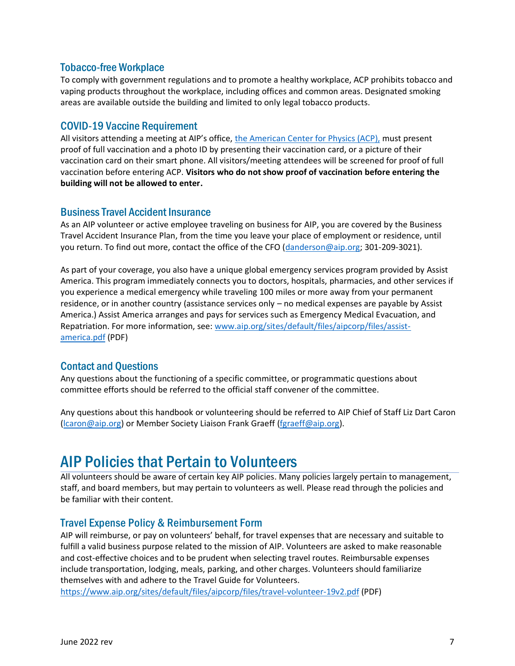#### Tobacco-free Workplace

To comply with government regulations and to promote a healthy workplace, ACP prohibits tobacco and vaping products throughout the workplace, including offices and common areas. Designated smoking areas are available outside the building and limited to only legal tobacco products.

#### COVID-19 Vaccine Requirement

All visitors attending a meeting at AIP's office, [the American Center for Physics \(ACP\),](https://acp.org/) must present proof of full vaccination and a photo ID by presenting their vaccination card, or a picture of their vaccination card on their smart phone. All visitors/meeting attendees will be screened for proof of full vaccination before entering ACP. **Visitors who do not show proof of vaccination before entering the building will not be allowed to enter.**

#### Business Travel Accident Insurance

As an AIP volunteer or active employee traveling on business for AIP, you are covered by the Business Travel Accident Insurance Plan, from the time you leave your place of employment or residence, until you return. To find out more, contact the office of the CFO [\(danderson@aip.org;](mailto:danderson@aip.org) 301-209-3021).

As part of your coverage, you also have a unique global emergency services program provided by Assist America. This program immediately connects you to doctors, hospitals, pharmacies, and other services if you experience a medical emergency while traveling 100 miles or more away from your permanent residence, or in another country (assistance services only – no medical expenses are payable by Assist America.) Assist America arranges and pays for services such as Emergency Medical Evacuation, and Repatriation. For more information, see: [www.aip.org/sites/default/files/aipcorp/files/assist](http://www.aip.org/sites/default/files/aipcorp/files/assist-america.pdf)[america.pdf](http://www.aip.org/sites/default/files/aipcorp/files/assist-america.pdf) (PDF)

## Contact and Questions

Any questions about the functioning of a specific committee, or programmatic questions about committee efforts should be referred to the official staff convener of the committee.

Any questions about this handbook or volunteering should be referred to AIP Chief of Staff Liz Dart Caron (Icaron@aip.org) or Member Society Liaison Frank Graeff [\(fgraeff@aip.org\)](mailto:fgraeff@aip.org).

## AIP Policies that Pertain to Volunteers

All volunteers should be aware of certain key AIP policies. Many policies largely pertain to management, staff, and board members, but may pertain to volunteers as well. Please read through the policies and be familiar with their content.

#### Travel Expense Policy & Reimbursement Form

AIP will reimburse, or pay on volunteers' behalf, for travel expenses that are necessary and suitable to fulfill a valid business purpose related to the mission of AIP. Volunteers are asked to make reasonable and cost-effective choices and to be prudent when selecting travel routes. Reimbursable expenses include transportation, lodging, meals, parking, and other charges. Volunteers should familiarize themselves with and adhere to the Travel Guide for Volunteers.

<https://www.aip.org/sites/default/files/aipcorp/files/travel-volunteer-19v2.pdf> (PDF)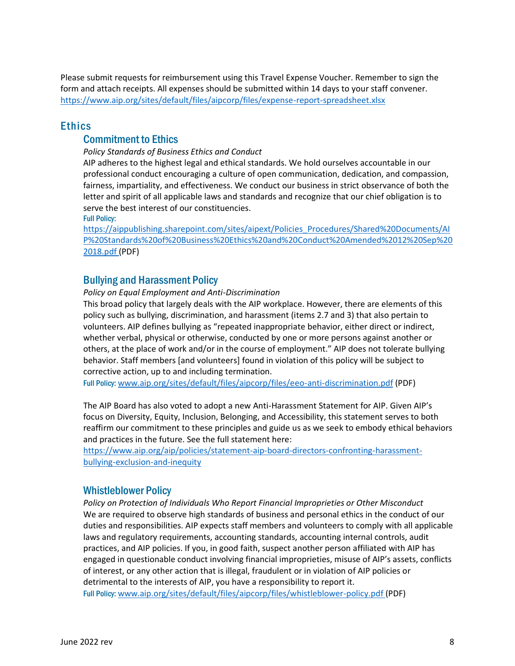Please submit requests for reimbursement using this Travel Expense Voucher. Remember to sign the form and attach receipts. All expenses should be submitted within 14 days to your staff convener. https://www.aip.org/sites/default/files/aipcorp/files/expense-report-spreadsheet.xlsx

#### Ethics

#### Commitment to Ethics

*Policy Standards of Business Ethics and Conduct*

AIP adheres to the highest legal and ethical standards. We hold ourselves accountable in our professional conduct encouraging a culture of open communication, dedication, and compassion, fairness, impartiality, and effectiveness. We conduct our business in strict observance of both the letter and spirit of all applicable laws and standards and recognize that our chief obligation is to serve the best interest of our constituencies.

Full Policy:

[https://aippublishing.sharepoint.com/sites/aipext/Policies\\_Procedures/Shared%20Documents/AI](https://aippublishing.sharepoint.com/sites/aipext/Policies_Procedures/Shared%20Documents/AIP%20Standards%20of%20Business%20Ethics%20and%20Conduct%20Amended%2012%20Sep%202018.pdf) [P%20Standards%20of%20Business%20Ethics%20and%20Conduct%20Amended%2012%20Sep%20](https://aippublishing.sharepoint.com/sites/aipext/Policies_Procedures/Shared%20Documents/AIP%20Standards%20of%20Business%20Ethics%20and%20Conduct%20Amended%2012%20Sep%202018.pdf) [2018.pdf](https://aippublishing.sharepoint.com/sites/aipext/Policies_Procedures/Shared%20Documents/AIP%20Standards%20of%20Business%20Ethics%20and%20Conduct%20Amended%2012%20Sep%202018.pdf) (PDF)

#### Bullying and Harassment Policy

*Policy on Equal Employment and Anti-Discrimination*

This broad policy that largely deals with the AIP workplace. However, there are elements of this policy such as bullying, discrimination, and harassment (items 2.7 and 3) that also pertain to volunteers. AIP defines bullying as "repeated inappropriate behavior, either direct or indirect, whether verbal, physical or otherwise, conducted by one or more persons against another or others, at the place of work and/or in the course of employment." AIP does not tolerate bullying behavior. Staff members [and volunteers] found in violation of this policy will be subject to corrective action, up to and including termination.

Full Policy: [www.aip.org/sites/default/files/aipcorp/files/eeo-anti-discrimination.pdf](http://www.aip.org/sites/default/files/aipcorp/files/eeo-anti-discrimination.pdf) (PDF)

The AIP Board has also voted to adopt a new Anti-Harassment Statement for AIP. Given AIP's focus on Diversity, Equity, Inclusion, Belonging, and Accessibility, this statement serves to both reaffirm our commitment to these principles and guide us as we seek to embody ethical behaviors and practices in the future. See the full statement here:

[https://www.aip.org/aip/policies/statement-aip-board-directors-confronting-harassment](https://www.aip.org/aip/policies/statement-aip-board-directors-confronting-harassment-bullying-exclusion-and-inequity)[bullying-exclusion-and-inequity](https://www.aip.org/aip/policies/statement-aip-board-directors-confronting-harassment-bullying-exclusion-and-inequity)

#### Whistleblower Policy

*Policy on Protection of Individuals Who Report Financial Improprieties or Other Misconduct* We are required to observe high standards of business and personal ethics in the conduct of our duties and responsibilities. AIP expects staff members and volunteers to comply with all applicable laws and regulatory requirements, accounting standards, accounting internal controls, audit practices, and AIP policies. If you, in good faith, suspect another person affiliated with AIP has engaged in questionable conduct involving financial improprieties, misuse of AIP's assets, conflicts of interest, or any other action that is illegal, fraudulent or in violation of AIP policies or detrimental to the interests of AIP, you have a responsibility to report it. Full Policy: [www.aip.org/sites/default/files/aipcorp/files/whistleblower-policy.pdf](http://www.aip.org/sites/default/files/aipcorp/files/whistleblower-policy.pdf) (PDF)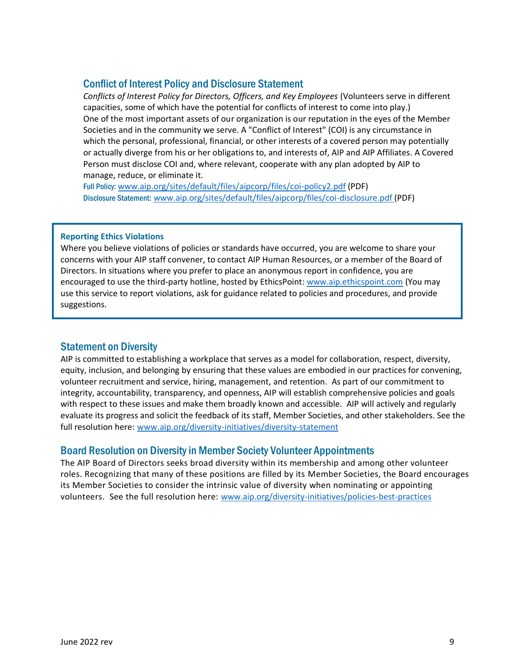#### Conflict of Interest Policy and Disclosure Statement

*Conflicts of Interest Policy for Directors, Officers, and Key Employees* (Volunteers serve in different capacities, some of which have the potential for conflicts of interest to come into play.) One of the most important assets of our organization is our reputation in the eyes of the Member Societies and in the community we serve. A "Conflict of Interest" (COI) is any circumstance in which the personal, professional, financial, or other interests of a covered person may potentially or actually diverge from his or her obligations to, and interests of, AIP and AIP Affiliates. A Covered Person must disclose COI and, where relevant, cooperate with any plan adopted by AIP to manage, reduce, or eliminate it.

Full Policy: [www.aip.org/sites/default/files/aipcorp/files/coi-policy2.pdf](http://www.aip.org/sites/default/files/aipcorp/files/coi-policy2.pdf) (PDF) Disclosure Statement: [www.aip.org/sites/default/files/aipcorp/files/coi-disclosure.pdf](http://www.aip.org/sites/default/files/aipcorp/files/coi-disclosure.pdf) (PDF)

#### **Reporting Ethics Violations**

Where you believe violations of policies or standards have occurred, you are welcome to share your concerns with your AIP staff convener, to contact AIP Human Resources, or a member of the Board of Directors. In situations where you prefer to place an anonymous report in confidence, you are encouraged to use the third-party hotline, hosted by EthicsPoint[: www.aip.ethicspoint.com](http://www.aip.ethicspoint.com/) (You may use this service to report violations, ask for guidance related to policies and procedures, and provide suggestions.

#### Statement on Diversity

AIP is committed to establishing a workplace that serves as a model for collaboration, respect, diversity, equity, inclusion, and belonging by ensuring that these values are embodied in our practices for convening, volunteer recruitment and service, hiring, management, and retention. As part of our commitment to integrity, accountability, transparency, and openness, AIP will establish comprehensive policies and goals with respect to these issues and make them broadly known and accessible. AIP will actively and regularly evaluate its progress and solicit the feedback of its staff, Member Societies, and other stakeholders. See the full resolution here: [www.aip.org/diversity-initiatives/diversity-statement](http://www.aip.org/diversity-initiatives/diversity-statement)

#### Board Resolution on Diversity in Member Society Volunteer Appointments

The AIP Board of Directors seeks broad diversity within its membership and among other volunteer roles. Recognizing that many of these positions are filled by its Member Societies, the Board encourages its Member Societies to consider the intrinsic value of diversity when nominating or appointing volunteers. See the full resolution here: [www.aip.org/diversity-initiatives/policies-best-practices](http://www.aip.org/diversity-initiatives/policies-best-practices)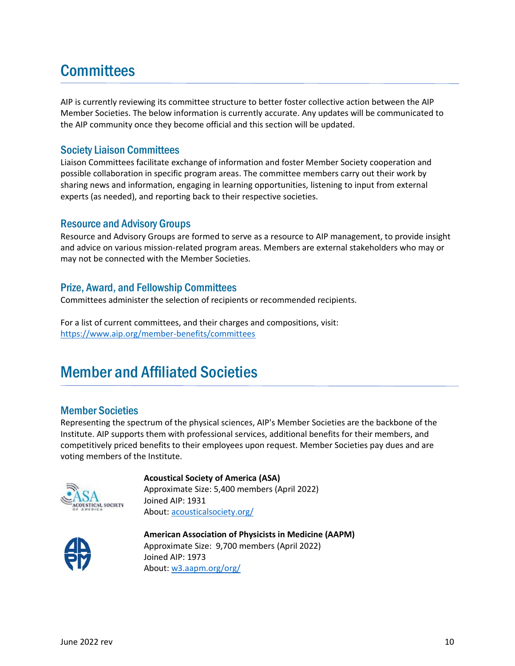# **Committees**

AIP is currently reviewing its committee structure to better foster collective action between the AIP Member Societies. The below information is currently accurate. Any updates will be communicated to the AIP community once they become official and this section will be updated.

#### Society Liaison Committees

Liaison Committees facilitate exchange of information and foster Member Society cooperation and possible collaboration in specific program areas. The committee members carry out their work by sharing news and information, engaging in learning opportunities, listening to input from external experts (as needed), and reporting back to their respective societies.

#### Resource and Advisory Groups

Resource and Advisory Groups are formed to serve as a resource to AIP management, to provide insight and advice on various mission-related program areas. Members are external stakeholders who may or may not be connected with the Member Societies.

#### Prize, Award, and Fellowship Committees

Committees administer the selection of recipients or recommended recipients.

For a list of current committees, and their charges and compositions, visit: <https://www.aip.org/member-benefits/committees>

# Member and Affiliated Societies

#### Member Societies

Representing the spectrum of the physical sciences, AIP's Member Societies are the backbone of the Institute. AIP supports them with professional services, additional benefits for their members, and competitively priced benefits to their employees upon request. Member Societies pay dues and are voting members of the Institute.



**Acoustical Society of America (ASA)** Approximate Size: 5,400 members (April 2022)

Joined AIP: 1931 About: [acousticalsociety.org/](https://acousticalsociety.org/)



**American Association of Physicists in Medicine (AAPM)** Approximate Size: 9,700 members (April 2022) Joined AIP: 1973 About: w3.aapm.org/org/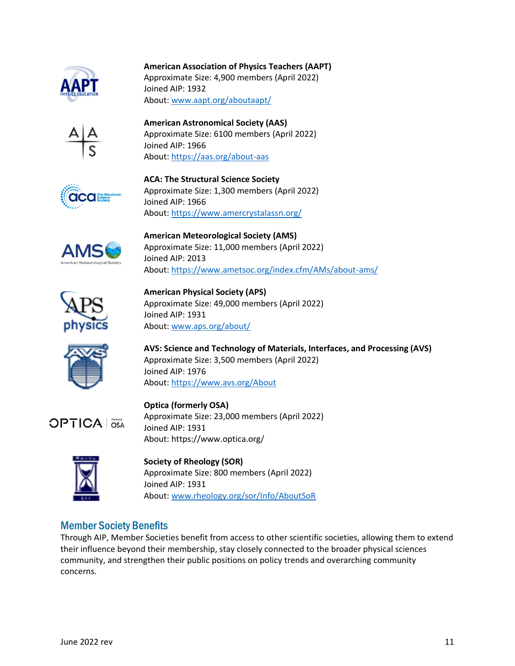

#### **American Association of Physics Teachers (AAPT)**

Approximate Size: 4,900 members (April 2022) Joined AIP: 1932 About: www.aapt.org/aboutaapt/



**American Astronomical Society (AAS)** Approximate Size: 6100 members (April 2022) Joined AIP: 1966 About: <https://aas.org/about-aas>



**ACA: The Structural Science Society** Approximate Size: 1,300 members (April 2022) Joined AIP: 1966 About: <https://www.amercrystalassn.org/>



**American Meteorological Society (AMS)**  Approximate Size: 11,000 members (April 2022) Joined AIP: 2013 About:<https://www.ametsoc.org/index.cfm/AMs/about-ams/>



**American Physical Society (APS)** Approximate Size: 49,000 members (April 2022) Joined AIP: 1931 About: [www.aps.org/about/](http://www.aps.org/about/)



**AVS: Science and Technology of Materials, Interfaces, and Processing (AVS)** Approximate Size: 3,500 members (April 2022) Joined AIP: 1976 [About: https://www.avs.org/About](http://About:%20www.avs.org/About)



**Optica (formerly OSA)** Approximate Size: 23,000 members (April 2022) Joined AIP: 1931 About: https://www.optica.org/



**Society of Rheology (SOR)** Approximate Size: 800 members (April 2022) Joined AIP: 1931 About: www.rheology.org/sor/Info/AboutSoR

## Member Society Benefits

Through AIP, Member Societies benefit from access to other scientific societies, allowing them to extend their influence beyond their membership, stay closely connected to the broader physical sciences community, and strengthen their public positions on policy trends and overarching community concerns.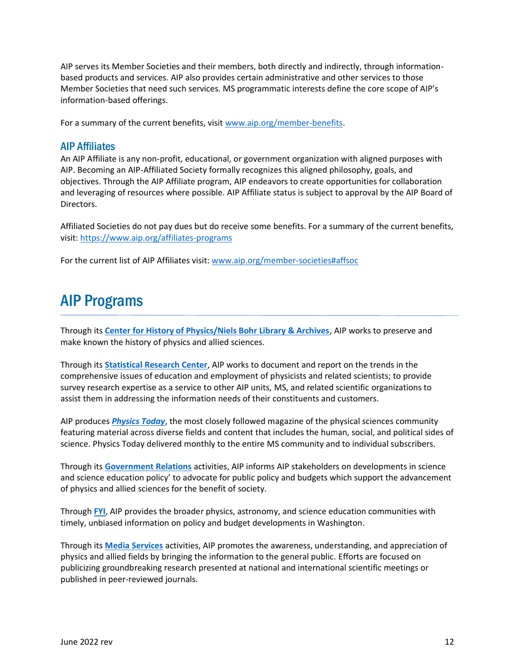AIP serves its Member Societies and their members, both directly and indirectly, through informationbased products and services. AIP also provides certain administrative and other services to those Member Societies that need such services. MS programmatic interests define the core scope of AIP's information-based offerings.

For a summary of the current benefits, visit [www.aip.org/member-benefits.](http://www.aip.org/member-benefits)

#### AIP Affiliates

An AIP Affiliate is any non-profit, educational, or government organization with aligned purposes with AIP. Becoming an AIP-Affiliated Society formally recognizes this aligned philosophy, goals, and objectives. Through the AIP Affiliate program, AIP endeavors to create opportunities for collaboration and leveraging of resources where possible. AIP Affiliate status is subject to approval by the AIP Board of Directors.

Affiliated Societies do not pay dues but do receive some benefits. For a summary of the current benefits, visit:<https://www.aip.org/affiliates-programs>

For the current list of AIP Affiliates visit: [www.aip.org/member-societies#affsoc](http://www.aip.org/member-societies#affsoc)

## AIP Programs

Through its **[Center for History of Physics/Niels Bohr Library & Archives](https://www.aip.org/history-programs/physics-history)**, AIP works to preserve and make known the history of physics and allied sciences.

Through its **[Statistical Research Center](https://www.aip.org/statistics)**, AIP works to document and report on the trends in the comprehensive issues of education and employment of physicists and related scientists; to provide survey research expertise as a service to other AIP units, MS, and related scientific organizations to assist them in addressing the information needs of their constituents and customers.

AIP produces *[Physics Today](http://www.physicstoday.org/)*, the most closely followed magazine of the physical sciences community featuring material across diverse fields and content that includes the human, social, and political sides of science. Physics Today delivered monthly to the entire MS community and to individual subscribers.

Through its **[Government Relations](https://www.aip.org/policy)** activities, AIP informs AIP stakeholders on developments in science and science education policy' to advocate for public policy and budgets which support the advancement of physics and allied sciences for the benefit of society.

Through **[FYI](https://www.aip.org/fyi)**, AIP provides the broader physics, astronomy, and science education communities with timely, unbiased information on policy and budget developments in Washington.

Through its **[Media Services](https://www.aip.org/science-news)** activities, AIP promotes the awareness, understanding, and appreciation of physics and allied fields by bringing the information to the general public. Efforts are focused on publicizing groundbreaking research presented at national and international scientific meetings or published in peer-reviewed journals.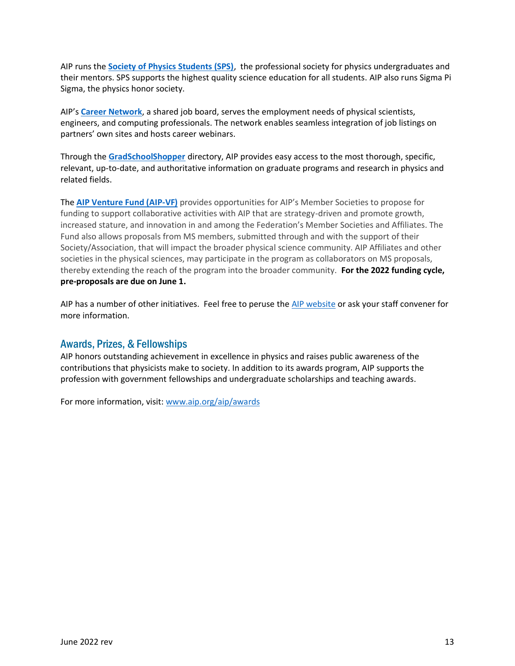AIP runs the **[Society of Physics Students \(SPS\)](https://www.spsnational.org/)**, the professional society for physics undergraduates and their mentors. SPS supports the highest quality science education for all students. AIP also runs Sigma Pi Sigma, the physics honor society.

AIP's **[Career Network](https://www.aip.org/career-resources)**, a shared job board, serves the employment needs of physical scientists, engineers, and computing professionals. The network enables seamless integration of job listings on partners' own sites and hosts career webinars.

Through the **[GradSchoolShopper](https://www.gradschoolshopper.com/gradschool/)** directory, AIP provides easy access to the most thorough, specific, relevant, up-to-date, and authoritative information on graduate programs and research in physics and related fields.

The **[AIP Venture Fund \(AIP-VF\)](https://www.aip.org/aip/member-benefits/venture-fund)** provides opportunities for AIP's Member Societies to propose for funding to support collaborative activities with AIP that are strategy-driven and promote growth, increased stature, and innovation in and among the Federation's Member Societies and Affiliates. The Fund also allows proposals from MS members, submitted through and with the support of their Society/Association, that will impact the broader physical science community. AIP Affiliates and other societies in the physical sciences, may participate in the program as collaborators on MS proposals, thereby extending the reach of the program into the broader community. **For the 2022 funding cycle, pre-proposals are due on June 1.**

AIP has a number of other initiatives. Feel free to peruse th[e AIP website](http://www.aip.org/) or ask your staff convener for more information.

#### [Awards, Prizes, & Fellowships](https://www.aip.org/aip/awards)

AIP honors outstanding achievement in excellence in physics and raises public awareness of the contributions that physicists make to society. In addition to its awards program, AIP supports the profession with government fellowships and undergraduate scholarships and teaching awards.

For more information, visit: [www.aip.org/aip/awards](http://www.aip.org/aip/awards)